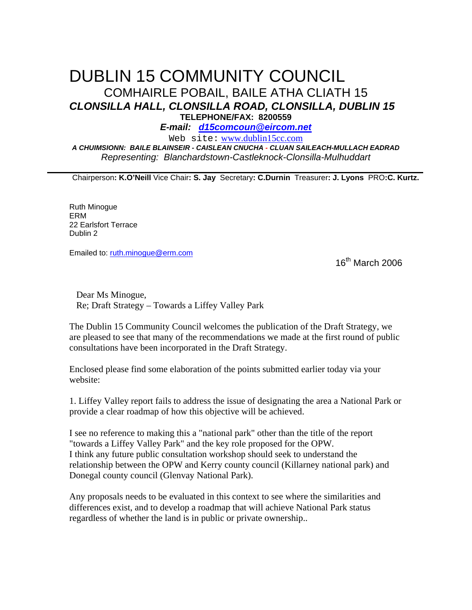## DUBLIN 15 COMMUNITY COUNCIL COMHAIRLE POBAIL, BAILE ATHA CLIATH 15 **CLONSILLA HALL, CLONSILLA ROAD, CLONSILLA, DUBLIN 15 TELEPHONE/FAX: 8200559**

**E-mail: d15comcoun@eircom.net**

Web site: www.dublin15cc.com **A CHUIMSIONN: BAILE BLAINSEIR - CAISLEAN CNUCHA - CLUAN SAILEACH-MULLACH EADRAD** 

Representing: Blanchardstown-Castleknock-Clonsilla-Mulhuddart

Chairperson**: K.O'Neill** Vice Chair**: S. Jay** Secretary**: C.Durnin** Treasurer**: J. Lyons** PRO**:C. Kurtz.**

Ruth Minogue ERM 22 Earlsfort Terrace Dublin 2

Emailed to: ruth.minogue@erm.com

16th March 2006

 Dear Ms Minogue, Re; Draft Strategy – Towards a Liffey Valley Park

The Dublin 15 Community Council welcomes the publication of the Draft Strategy, we are pleased to see that many of the recommendations we made at the first round of public consultations have been incorporated in the Draft Strategy.

Enclosed please find some elaboration of the points submitted earlier today via your website:

1. Liffey Valley report fails to address the issue of designating the area a National Park or provide a clear roadmap of how this objective will be achieved.

I see no reference to making this a "national park" other than the title of the report "towards a Liffey Valley Park" and the key role proposed for the OPW. I think any future public consultation workshop should seek to understand the relationship between the OPW and Kerry county council (Killarney national park) and Donegal county council (Glenvay National Park).

Any proposals needs to be evaluated in this context to see where the similarities and differences exist, and to develop a roadmap that will achieve National Park status regardless of whether the land is in public or private ownership..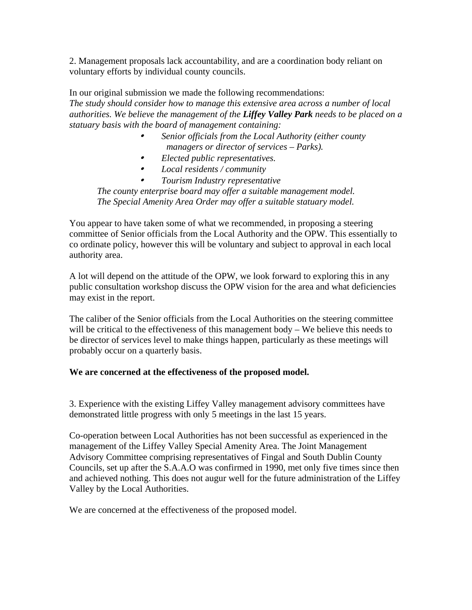2. Management proposals lack accountability, and are a coordination body reliant on voluntary efforts by individual county councils.

In our original submission we made the following recommendations: *The study should consider how to manage this extensive area across a number of local authorities. We believe the management of the Liffey Valley Park needs to be placed on a statuary basis with the board of management containing:* 

- • *Senior officials from the Local Authority (either county managers or director of services – Parks).*
- • *Elected public representatives.*
- • *Local residents / community*

• *Tourism Industry representative The county enterprise board may offer a suitable management model. The Special Amenity Area Order may offer a suitable statuary model.*

You appear to have taken some of what we recommended, in proposing a steering committee of Senior officials from the Local Authority and the OPW. This essentially to co ordinate policy, however this will be voluntary and subject to approval in each local authority area.

A lot will depend on the attitude of the OPW, we look forward to exploring this in any public consultation workshop discuss the OPW vision for the area and what deficiencies may exist in the report.

The caliber of the Senior officials from the Local Authorities on the steering committee will be critical to the effectiveness of this management body – We believe this needs to be director of services level to make things happen, particularly as these meetings will probably occur on a quarterly basis.

## **We are concerned at the effectiveness of the proposed model.**

3. Experience with the existing Liffey Valley management advisory committees have demonstrated little progress with only 5 meetings in the last 15 years.

Co-operation between Local Authorities has not been successful as experienced in the management of the Liffey Valley Special Amenity Area. The Joint Management Advisory Committee comprising representatives of Fingal and South Dublin County Councils, set up after the S.A.A.O was confirmed in 1990, met only five times since then and achieved nothing. This does not augur well for the future administration of the Liffey Valley by the Local Authorities.

We are concerned at the effectiveness of the proposed model.